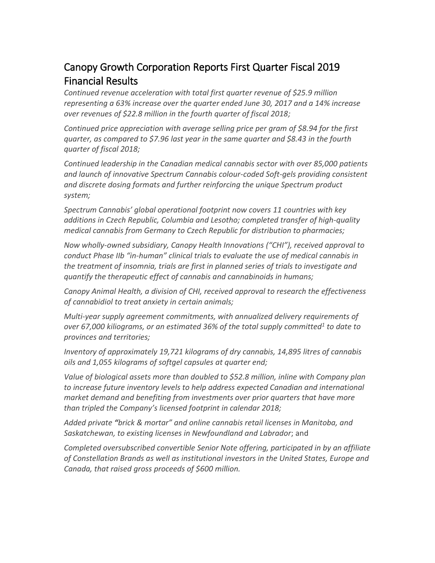# Canopy Growth Corporation Reports First Quarter Fiscal 2019 Financial Results

*Continued revenue acceleration with total first quarter revenue of \$25.9 million representing a 63% increase over the quarter ended June 30, 2017 and a 14% increase over revenues of \$22.8 million in the fourth quarter of fiscal 2018;*

*Continued price appreciation with average selling price per gram of \$8.94 for the first quarter, as compared to \$7.96 last year in the same quarter and \$8.43 in the fourth quarter of fiscal 2018;*

*Continued leadership in the Canadian medical cannabis sector with over 85,000 patients and launch of innovative Spectrum Cannabis colour-coded Soft-gels providing consistent and discrete dosing formats and further reinforcing the unique Spectrum product system;*

*Spectrum Cannabis' global operational footprint now covers 11 countries with key additions in Czech Republic, Columbia and Lesotho; completed transfer of high-quality medical cannabis from Germany to Czech Republic for distribution to pharmacies;*

*Now wholly-owned subsidiary, Canopy Health Innovations ("CHI"), received approval to conduct Phase IIb "in-human" clinical trials to evaluate the use of medical cannabis in the treatment of insomnia, trials are first in planned series of trials to investigate and quantify the therapeutic effect of cannabis and cannabinoids in humans;*

*Canopy Animal Health, a division of CHI, received approval to research the effectiveness of cannabidiol to treat anxiety in certain animals;*

*Multi-year supply agreement commitments, with annualized delivery requirements of over 67,000 kiliograms, or an estimated 36% of the total supply committed<sup>1</sup> to date to provinces and territories;*

*Inventory of approximately 19,721 kilograms of dry cannabis, 14,895 litres of cannabis oils and 1,055 kilograms of softgel capsules at quarter end;* 

*Value of biological assets more than doubled to \$52.8 million, inline with Company plan to increase future inventory levels to help address expected Canadian and international market demand and benefiting from investments over prior quarters that have more than tripled the Company's licensed footprint in calendar 2018;*

*Added private "brick & mortar" and online cannabis retail licenses in Manitoba, and Saskatchewan, to existing licenses in Newfoundland and Labrador*; and

*Completed oversubscribed convertible Senior Note offering, participated in by an affiliate of Constellation Brands as well as institutional investors in the United States, Europe and Canada, that raised gross proceeds of \$600 million.*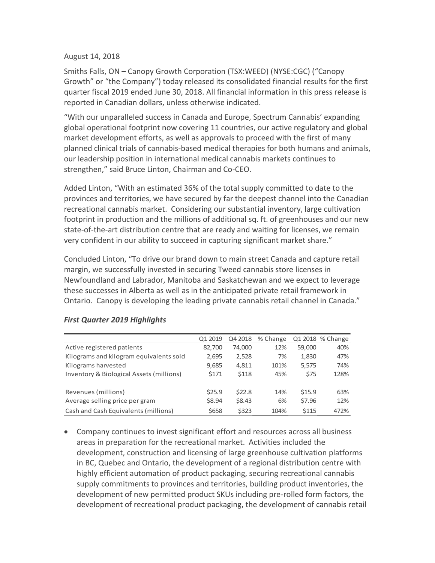#### August 14, 2018

Smiths Falls, ON – Canopy Growth Corporation (TSX:WEED) (NYSE:CGC) ("Canopy Growth" or "the Company") today released its consolidated financial results for the first quarter fiscal 2019 ended June 30, 2018. All financial information in this press release is reported in Canadian dollars, unless otherwise indicated.

"With our unparalleled success in Canada and Europe, Spectrum Cannabis' expanding global operational footprint now covering 11 countries, our active regulatory and global market development efforts, as well as approvals to proceed with the first of many planned clinical trials of cannabis-based medical therapies for both humans and animals, our leadership position in international medical cannabis markets continues to strengthen," said Bruce Linton, Chairman and Co-CEO.

Added Linton, "With an estimated 36% of the total supply committed to date to the provinces and territories, we have secured by far the deepest channel into the Canadian recreational cannabis market. Considering our substantial inventory, large cultivation footprint in production and the millions of additional sq. ft. of greenhouses and our new state-of-the-art distribution centre that are ready and waiting for licenses, we remain very confident in our ability to succeed in capturing significant market share."

Concluded Linton, "To drive our brand down to main street Canada and capture retail margin, we successfully invested in securing Tweed cannabis store licenses in Newfoundland and Labrador, Manitoba and Saskatchewan and we expect to leverage these successes in Alberta as well as in the anticipated private retail framework in Ontario. Canopy is developing the leading private cannabis retail channel in Canada."

|                                          | Q1 2019 | Q4 2018 | % Change |        | Q1 2018 % Change |
|------------------------------------------|---------|---------|----------|--------|------------------|
| Active registered patients               | 82,700  | 74,000  | 12%      | 59,000 | 40%              |
| Kilograms and kilogram equivalents sold  | 2,695   | 2,528   | 7%       | 1,830  | 47%              |
| Kilograms harvested                      | 9,685   | 4,811   | 101%     | 5,575  | 74%              |
| Inventory & Biological Assets (millions) | \$171   | \$118   | 45%      | \$75   | 128%             |
|                                          |         |         |          |        |                  |
| Revenues (millions)                      | \$25.9  | \$22.8  | 14%      | \$15.9 | 63%              |
| Average selling price per gram           | \$8.94  | \$8.43  | 6%       | \$7.96 | 12%              |
| Cash and Cash Equivalents (millions)     | \$658   | \$323   | 104%     | \$115  | 472%             |

#### *First Quarter 2019 Highlights*

• Company continues to invest significant effort and resources across all business areas in preparation for the recreational market. Activities included the development, construction and licensing of large greenhouse cultivation platforms in BC, Quebec and Ontario, the development of a regional distribution centre with highly efficient automation of product packaging, securing recreational cannabis supply commitments to provinces and territories, building product inventories, the development of new permitted product SKUs including pre-rolled form factors, the development of recreational product packaging, the development of cannabis retail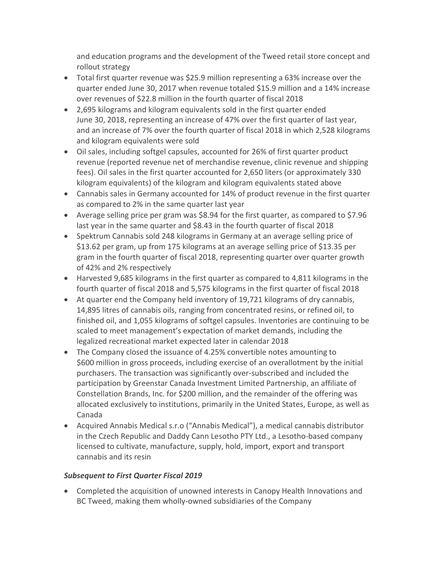and education programs and the development of the Tweed retail store concept and rollout strategy

- Total first quarter revenue was \$25.9 million representing a 63% increase over the quarter ended June 30, 2017 when revenue totaled \$15.9 million and a 14% increase over revenues of \$22.8 million in the fourth quarter of fiscal 2018
- 2,695 kilograms and kilogram equivalents sold in the first quarter ended June 30, 2018, representing an increase of 47% over the first quarter of last year, and an increase of 7% over the fourth quarter of fiscal 2018 in which 2,528 kilograms and kilogram equivalents were sold
- Oil sales, including softgel capsules, accounted for 26% of first quarter product revenue (reported revenue net of merchandise revenue, clinic revenue and shipping fees). Oil sales in the first quarter accounted for 2,650 liters (or approximately 330 kilogram equivalents) of the kilogram and kilogram equivalents stated above
- Cannabis sales in Germany accounted for 14% of product revenue in the first quarter as compared to 2% in the same quarter last year
- Average selling price per gram was \$8.94 for the first quarter, as compared to \$7.96 last year in the same quarter and \$8.43 in the fourth quarter of fiscal 2018
- Spektrum Cannabis sold 248 kilograms in Germany at an average selling price of \$13.62 per gram, up from 175 kilograms at an average selling price of \$13.35 per gram in the fourth quarter of fiscal 2018, representing quarter over quarter growth of 42% and 2% respectively
- Harvested 9,685 kilograms in the first quarter as compared to 4,811 kilograms in the fourth quarter of fiscal 2018 and 5,575 kilograms in the first quarter of fiscal 2018
- At quarter end the Company held inventory of 19,721 kilograms of dry cannabis, 14,895 litres of cannabis oils, ranging from concentrated resins, or refined oil, to finished oil, and 1,055 kilograms of softgel capsules. Inventories are continuing to be scaled to meet management's expectation of market demands, including the legalized recreational market expected later in calendar 2018
- The Company closed the issuance of 4.25% convertible notes amounting to \$600 million in gross proceeds, including exercise of an overallotment by the initial purchasers. The transaction was significantly over-subscribed and included the participation by Greenstar Canada Investment Limited Partnership, an affiliate of Constellation Brands, Inc. for \$200 million, and the remainder of the offering was allocated exclusively to institutions, primarily in the United States, Europe, as well as Canada
- Acquired Annabis Medical s.r.o ("Annabis Medical"), a medical cannabis distributor in the Czech Republic and Daddy Cann Lesotho PTY Ltd., a Lesotho-based company licensed to cultivate, manufacture, supply, hold, import, export and transport cannabis and its resin

# *Subsequent to First Quarter Fiscal 2019*

• Completed the acquisition of unowned interests in Canopy Health Innovations and BC Tweed, making them wholly-owned subsidiaries of the Company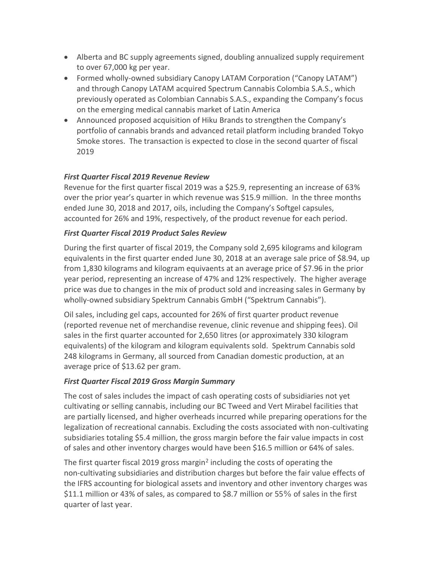- Alberta and BC supply agreements signed, doubling annualized supply requirement to over 67,000 kg per year.
- Formed wholly-owned subsidiary Canopy LATAM Corporation ("Canopy LATAM") and through Canopy LATAM acquired Spectrum Cannabis Colombia S.A.S., which previously operated as Colombian Cannabis S.A.S., expanding the Company's focus on the emerging medical cannabis market of Latin America
- Announced proposed acquisition of Hiku Brands to strengthen the Company's portfolio of cannabis brands and advanced retail platform including branded Tokyo Smoke stores. The transaction is expected to close in the second quarter of fiscal 2019

## *First Quarter Fiscal 2019 Revenue Review*

Revenue for the first quarter fiscal 2019 was a \$25.9, representing an increase of 63% over the prior year's quarter in which revenue was \$15.9 million. In the three months ended June 30, 2018 and 2017, oils, including the Company's Softgel capsules, accounted for 26% and 19%, respectively, of the product revenue for each period.

# *First Quarter Fiscal 2019 Product Sales Review*

During the first quarter of fiscal 2019, the Company sold 2,695 kilograms and kilogram equivalents in the first quarter ended June 30, 2018 at an average sale price of \$8.94, up from 1,830 kilograms and kilogram equivaents at an average price of \$7.96 in the prior year period, representing an increase of 47% and 12% respectively. The higher average price was due to changes in the mix of product sold and increasing sales in Germany by wholly-owned subsidiary Spektrum Cannabis GmbH ("Spektrum Cannabis").

Oil sales, including gel caps, accounted for 26% of first quarter product revenue (reported revenue net of merchandise revenue, clinic revenue and shipping fees). Oil sales in the first quarter accounted for 2,650 litres (or approximately 330 kilogram equivalents) of the kilogram and kilogram equivalents sold. Spektrum Cannabis sold 248 kilograms in Germany, all sourced from Canadian domestic production, at an average price of \$13.62 per gram.

#### *First Quarter Fiscal 2019 Gross Margin Summary*

The cost of sales includes the impact of cash operating costs of subsidiaries not yet cultivating or selling cannabis, including our BC Tweed and Vert Mirabel facilities that are partially licensed, and higher overheads incurred while preparing operations for the legalization of recreational cannabis. Excluding the costs associated with non-cultivating subsidiaries totaling \$5.4 million, the gross margin before the fair value impacts in cost of sales and other inventory charges would have been \$16.5 million or 64% of sales.

The first quarter fiscal 2019 gross margin<sup>2</sup> including the costs of operating the non-cultivating subsidiaries and distribution charges but before the fair value effects of the IFRS accounting for biological assets and inventory and other inventory charges was \$11.1 million or 43% of sales, as compared to \$8.7 million or 55% of sales in the first quarter of last year.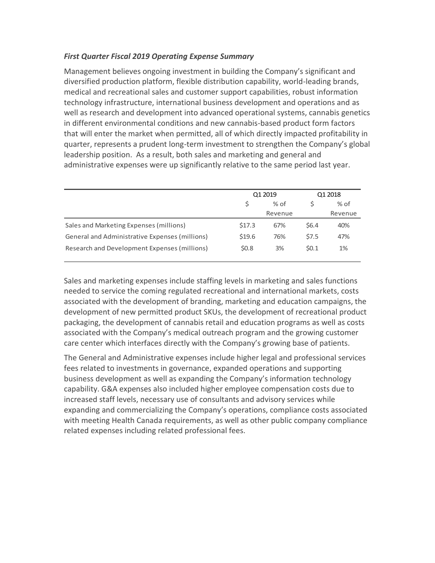#### *First Quarter Fiscal 2019 Operating Expense Summary*

Management believes ongoing investment in building the Company's significant and diversified production platform, flexible distribution capability, world-leading brands, medical and recreational sales and customer support capabilities, robust information technology infrastructure, international business development and operations and as well as research and development into advanced operational systems, cannabis genetics in different environmental conditions and new cannabis-based product form factors that will enter the market when permitted, all of which directly impacted profitability in quarter, represents a prudent long-term investment to strengthen the Company's global leadership position. As a result, both sales and marketing and general and administrative expenses were up significantly relative to the same period last year.

|                                                | Q1 2019       |         | Q1 2018 |         |
|------------------------------------------------|---------------|---------|---------|---------|
|                                                | \$.<br>$%$ of |         |         | $%$ of  |
|                                                |               | Revenue |         | Revenue |
| Sales and Marketing Expenses (millions)        | \$17.3        | 67%     | \$6.4\$ | 40%     |
| General and Administrative Expenses (millions) | \$19.6        | 76%     | \$7.5   | 47%     |
| Research and Development Expenses (millions)   | \$0.8\$       | 3%      | 50.1    | 1%      |

Sales and marketing expenses include staffing levels in marketing and sales functions needed to service the coming regulated recreational and international markets, costs associated with the development of branding, marketing and education campaigns, the development of new permitted product SKUs, the development of recreational product packaging, the development of cannabis retail and education programs as well as costs associated with the Company's medical outreach program and the growing customer care center which interfaces directly with the Company's growing base of patients.

The General and Administrative expenses include higher legal and professional services fees related to investments in governance, expanded operations and supporting business development as well as expanding the Company's information technology capability. G&A expenses also included higher employee compensation costs due to increased staff levels, necessary use of consultants and advisory services while expanding and commercializing the Company's operations, compliance costs associated with meeting Health Canada requirements, as well as other public company compliance related expenses including related professional fees.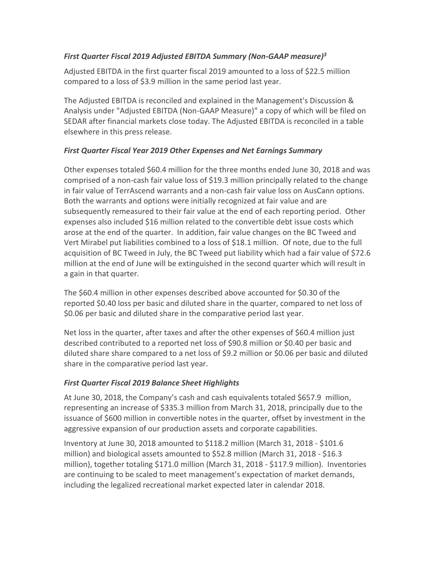## *First Quarter Fiscal 2019 Adjusted EBITDA Summary (Non-GAAP measure)<sup>3</sup>*

Adjusted EBITDA in the first quarter fiscal 2019 amounted to a loss of \$22.5 million compared to a loss of \$3.9 million in the same period last year.

The Adjusted EBITDA is reconciled and explained in the Management's Discussion & Analysis under "Adjusted EBITDA (Non-GAAP Measure)" a copy of which will be filed on SEDAR after financial markets close today. The Adjusted EBITDA is reconciled in a table elsewhere in this press release.

# *First Quarter Fiscal Year 2019 Other Expenses and Net Earnings Summary*

Other expenses totaled \$60.4 million for the three months ended June 30, 2018 and was comprised of a non-cash fair value loss of \$19.3 million principally related to the change in fair value of TerrAscend warrants and a non-cash fair value loss on AusCann options. Both the warrants and options were initially recognized at fair value and are subsequently remeasured to their fair value at the end of each reporting period. Other expenses also included \$16 million related to the convertible debt issue costs which arose at the end of the quarter. In addition, fair value changes on the BC Tweed and Vert Mirabel put liabilities combined to a loss of \$18.1 million. Of note, due to the full acquisition of BC Tweed in July, the BC Tweed put liability which had a fair value of \$72.6 million at the end of June will be extinguished in the second quarter which will result in a gain in that quarter.

The \$60.4 million in other expenses described above accounted for \$0.30 of the reported \$0.40 loss per basic and diluted share in the quarter, compared to net loss of \$0.06 per basic and diluted share in the comparative period last year.

Net loss in the quarter, after taxes and after the other expenses of \$60.4 million just described contributed to a reported net loss of \$90.8 million or \$0.40 per basic and diluted share share compared to a net loss of \$9.2 million or \$0.06 per basic and diluted share in the comparative period last year.

# *First Quarter Fiscal 2019 Balance Sheet Highlights*

At June 30, 2018, the Company's cash and cash equivalents totaled \$657.9 million, representing an increase of \$335.3 million from March 31, 2018, principally due to the issuance of \$600 million in convertible notes in the quarter, offset by investment in the aggressive expansion of our production assets and corporate capabilities.

Inventory at June 30, 2018 amounted to \$118.2 million (March 31, 2018 - \$101.6 million) and biological assets amounted to \$52.8 million (March 31, 2018 - \$16.3 million), together totaling \$171.0 million (March 31, 2018 - \$117.9 million). Inventories are continuing to be scaled to meet management's expectation of market demands, including the legalized recreational market expected later in calendar 2018.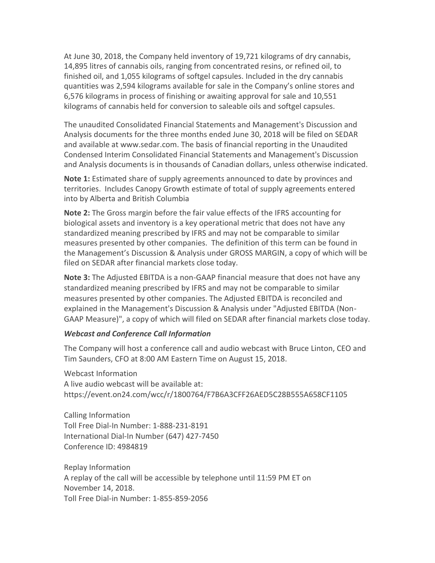At June 30, 2018, the Company held inventory of 19,721 kilograms of dry cannabis, 14,895 litres of cannabis oils, ranging from concentrated resins, or refined oil, to finished oil, and 1,055 kilograms of softgel capsules. Included in the dry cannabis quantities was 2,594 kilograms available for sale in the Company's online stores and 6,576 kilograms in process of finishing or awaiting approval for sale and 10,551 kilograms of cannabis held for conversion to saleable oils and softgel capsules.

The unaudited Consolidated Financial Statements and Management's Discussion and Analysis documents for the three months ended June 30, 2018 will be filed on SEDAR and available at www.sedar.com. The basis of financial reporting in the Unaudited Condensed Interim Consolidated Financial Statements and Management's Discussion and Analysis documents is in thousands of Canadian dollars, unless otherwise indicated.

**Note 1:** Estimated share of supply agreements announced to date by provinces and territories. Includes Canopy Growth estimate of total of supply agreements entered into by Alberta and British Columbia

**Note 2:** The Gross margin before the fair value effects of the IFRS accounting for biological assets and inventory is a key operational metric that does not have any standardized meaning prescribed by IFRS and may not be comparable to similar measures presented by other companies. The definition of this term can be found in the Management's Discussion & Analysis under GROSS MARGIN, a copy of which will be filed on SEDAR after financial markets close today.

**Note 3:** The Adjusted EBITDA is a non-GAAP financial measure that does not have any standardized meaning prescribed by IFRS and may not be comparable to similar measures presented by other companies. The Adjusted EBITDA is reconciled and explained in the Management's Discussion & Analysis under "Adjusted EBITDA (Non-GAAP Measure)", a copy of which will filed on SEDAR after financial markets close today.

#### *Webcast and Conference Call Information*

The Company will host a conference call and audio webcast with Bruce Linton, CEO and Tim Saunders, CFO at 8:00 AM Eastern Time on August 15, 2018.

Webcast Information A live audio webcast will be available at: https://event.on24.com/wcc/r/1800764/F7B6A3CFF26AED5C28B555A658CF1105

Calling Information Toll Free Dial-In Number: 1-888-231-8191 International Dial-In Number (647) 427-7450 Conference ID: 4984819

Replay Information A replay of the call will be accessible by telephone until 11:59 PM ET on November 14, 2018. Toll Free Dial-in Number: 1-855-859-2056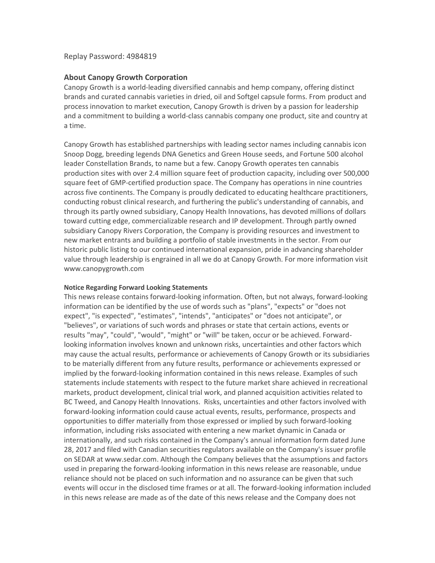#### Replay Password: 4984819

#### **About Canopy Growth Corporation**

Canopy Growth is a world-leading diversified cannabis and hemp company, offering distinct brands and curated cannabis varieties in dried, oil and Softgel capsule forms. From product and process innovation to market execution, Canopy Growth is driven by a passion for leadership and a commitment to building a world-class cannabis company one product, site and country at a time.

Canopy Growth has established partnerships with leading sector names including cannabis icon Snoop Dogg, breeding legends DNA Genetics and Green House seeds, and Fortune 500 alcohol leader Constellation Brands, to name but a few. Canopy Growth operates ten cannabis production sites with over 2.4 million square feet of production capacity, including over 500,000 square feet of GMP-certified production space. The Company has operations in nine countries across five continents. The Company is proudly dedicated to educating healthcare practitioners, conducting robust clinical research, and furthering the public's understanding of cannabis, and through its partly owned subsidiary, Canopy Health Innovations, has devoted millions of dollars toward cutting edge, commercializable research and IP development. Through partly owned subsidiary Canopy Rivers Corporation, the Company is providing resources and investment to new market entrants and building a portfolio of stable investments in the sector. From our historic public listing to our continued international expansion, pride in advancing shareholder value through leadership is engrained in all we do at Canopy Growth. For more information visit www.canopygrowth.com

#### **Notice Regarding Forward Looking Statements**

This news release contains forward-looking information. Often, but not always, forward-looking information can be identified by the use of words such as "plans", "expects" or "does not expect", "is expected", "estimates", "intends", "anticipates" or "does not anticipate", or "believes", or variations of such words and phrases or state that certain actions, events or results "may", "could", "would", "might" or "will" be taken, occur or be achieved. Forwardlooking information involves known and unknown risks, uncertainties and other factors which may cause the actual results, performance or achievements of Canopy Growth or its subsidiaries to be materially different from any future results, performance or achievements expressed or implied by the forward-looking information contained in this news release. Examples of such statements include statements with respect to the future market share achieved in recreational markets, product development, clinical trial work, and planned acquisition activities related to BC Tweed, and Canopy Health Innovations. Risks, uncertainties and other factors involved with forward-looking information could cause actual events, results, performance, prospects and opportunities to differ materially from those expressed or implied by such forward-looking information, including risks associated with entering a new market dynamic in Canada or internationally, and such risks contained in the Company's annual information form dated June 28, 2017 and filed with Canadian securities regulators available on the Company's issuer profile on SEDAR at [www.sedar.com.](https://www.sedar.com/) Although the Company believes that the assumptions and factors used in preparing the forward-looking information in this news release are reasonable, undue reliance should not be placed on such information and no assurance can be given that such events will occur in the disclosed time frames or at all. The forward-looking information included in this news release are made as of the date of this news release and the Company does not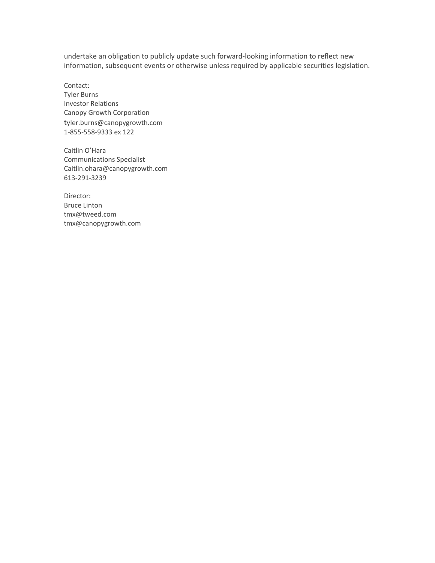undertake an obligation to publicly update such forward-looking information to reflect new information, subsequent events or otherwise unless required by applicable securities legislation.

Contact: Tyler Burns Investor Relations Canopy Growth Corporation tyler.burns@canopygrowth.com 1-855-558-9333 ex 122

Caitlin O'Hara Communications Specialist Caitlin.ohara@canopygrowth.com 613-291-3239

Director: Bruce Linton [tmx@tweed.com](mailto:tmx@tweed.com) [tmx@canopygrowth.com](mailto:tmx@canopygrowth.com)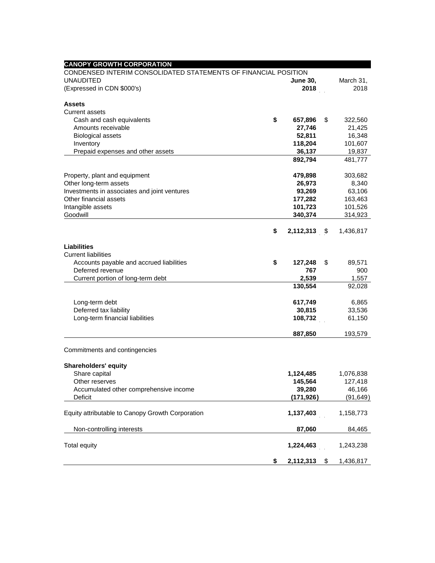| <b>CANOPY GROWTH CORPORATION</b>                                |                 |                 |
|-----------------------------------------------------------------|-----------------|-----------------|
| CONDENSED INTERIM CONSOLIDATED STATEMENTS OF FINANCIAL POSITION |                 |                 |
| <b>UNAUDITED</b>                                                | <b>June 30,</b> | March 31,       |
| (Expressed in CDN \$000's)                                      | 2018            | 2018            |
| <b>Assets</b>                                                   |                 |                 |
| <b>Current assets</b>                                           |                 |                 |
| Cash and cash equivalents                                       | \$<br>657,896   | \$<br>322,560   |
| Amounts receivable                                              | 27,746          | 21,425          |
| <b>Biological assets</b>                                        | 52,811          | 16,348          |
| Inventory                                                       | 118,204         | 101,607         |
| Prepaid expenses and other assets                               | 36,137          | 19,837          |
|                                                                 | 892,794         | 481,777         |
| Property, plant and equipment                                   | 479,898         | 303,682         |
| Other long-term assets                                          | 26,973          | 8,340           |
| Investments in associates and joint ventures                    | 93,269          | 63,106          |
| Other financial assets                                          | 177,282         | 163,463         |
| Intangible assets                                               | 101,723         | 101,526         |
| Goodwill                                                        | 340,374         | 314,923         |
|                                                                 | \$<br>2,112,313 | \$<br>1,436,817 |
|                                                                 |                 |                 |
| Liabilities                                                     |                 |                 |
| <b>Current liabilities</b>                                      |                 |                 |
| Accounts payable and accrued liabilities                        | \$<br>127,248   | \$<br>89,571    |
| Deferred revenue                                                | 767             | 900             |
| Current portion of long-term debt                               | 2,539           | 1,557           |
|                                                                 | 130,554         | 92,028          |
| Long-term debt                                                  | 617,749         | 6,865           |
| Deferred tax liability                                          | 30,815          | 33,536          |
| Long-term financial liabilities                                 | 108,732         | 61,150          |
|                                                                 | 887,850         | 193,579         |
| Commitments and contingencies                                   |                 |                 |
|                                                                 |                 |                 |
| <b>Shareholders' equity</b><br>Share capital                    | 1,124,485       | 1,076,838       |
| Other reserves                                                  | 145,564         | 127,418         |
| Accumulated other comprehensive income                          | 39,280          | 46,166          |
| Deficit                                                         | (171, 926)      | (91, 649)       |
|                                                                 |                 |                 |
| Equity attributable to Canopy Growth Corporation                | 1,137,403       | 1,158,773       |
| Non-controlling interests                                       | 87,060          | 84,465          |
| <b>Total equity</b>                                             | 1,224,463       | 1,243,238       |
|                                                                 | \$<br>2,112,313 | \$<br>1,436,817 |
|                                                                 |                 |                 |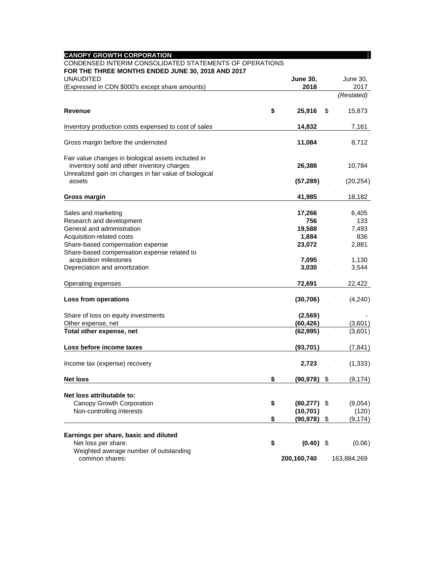| <b>CANOPY GROWTH CORPORATION</b>                         |                      |              |
|----------------------------------------------------------|----------------------|--------------|
| CONDENSED INTERIM CONSOLIDATED STATEMENTS OF OPERATIONS  |                      |              |
| FOR THE THREE MONTHS ENDED JUNE 30, 2018 AND 2017        |                      |              |
| <b>UNAUDITED</b>                                         | <b>June 30,</b>      | June 30,     |
| (Expressed in CDN \$000's except share amounts)          | 2018                 | 2017         |
|                                                          |                      | (Restated)   |
| <b>Revenue</b>                                           | \$<br>25,916         | \$<br>15,873 |
| Inventory production costs expensed to cost of sales     | 14,832               | 7,161        |
| Gross margin before the undernoted                       | 11,084               | 8,712        |
| Fair value changes in biological assets included in      |                      |              |
| inventory sold and other inventory charges               | 26,388               | 10,784       |
| Unrealized gain on changes in fair value of biological   |                      |              |
| assets                                                   | (57, 289)            | (20,254)     |
| Gross margin                                             | 41,985               | 18,182       |
|                                                          |                      |              |
| Sales and marketing                                      | 17,266               | 6,405        |
| Research and development                                 | 756                  | 133          |
| General and administration                               | 19,588               | 7,493        |
| Acquisition-related costs                                | 1,884                | 836          |
| Share-based compensation expense                         | 23,072               | 2,881        |
| Share-based compensation expense related to              |                      |              |
| acquisition milestones                                   | 7,095                | 1,130        |
| Depreciation and amortization                            | 3,030                | 3,544        |
| Operating expenses                                       | 72,691               | 22,422       |
| Loss from operations                                     | (30, 706)            | (4,240)      |
|                                                          |                      |              |
| Share of loss on equity investments                      | (2, 569)             |              |
| Other expense, net                                       | (60, 426)            | (3,601)      |
| Total other expense, net                                 | (62, 995)            | (3,601)      |
| Loss before income taxes                                 | (93, 701)            | (7, 841)     |
| Income tax (expense) recovery                            | 2,723                | (1, 333)     |
| <b>Net loss</b>                                          | \$<br>$(90, 978)$ \$ | (9, 174)     |
| Net loss attributable to:                                |                      |              |
| Canopy Growth Corporation                                | \$<br>$(80, 277)$ \$ | (9,054)      |
| Non-controlling interests                                | (10, 701)            | (120)        |
|                                                          | \$<br>$(90, 978)$ \$ | (9, 174)     |
|                                                          |                      |              |
| Earnings per share, basic and diluted                    |                      |              |
| Net loss per share:                                      | \$<br>$(0.40)$ \$    | (0.06)       |
| Weighted average number of outstanding<br>common shares: |                      |              |
|                                                          | 200,160,740          | 163,884,269  |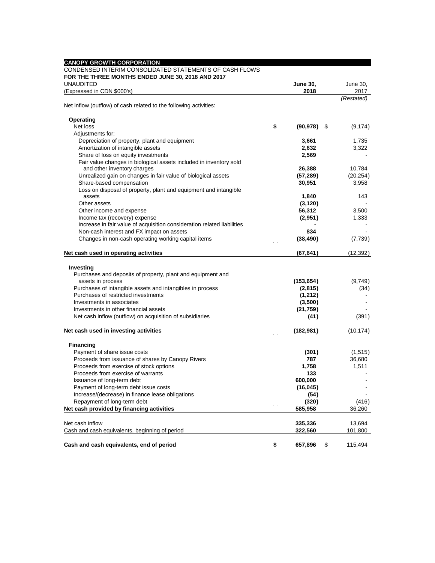| <b>CANOPY GROWTH CORPORATION</b>                                                                             |                      |            |
|--------------------------------------------------------------------------------------------------------------|----------------------|------------|
| CONDENSED INTERIM CONSOLIDATED STATEMENTS OF CASH FLOWS<br>FOR THE THREE MONTHS ENDED JUNE 30, 2018 AND 2017 |                      |            |
| <b>UNAUDITED</b>                                                                                             | <b>June 30,</b>      | June 30,   |
| (Expressed in CDN \$000's)                                                                                   | 2018                 | 2017       |
| Net inflow (outflow) of cash related to the following activities:                                            |                      | (Restated) |
| Operating                                                                                                    |                      |            |
| Net loss                                                                                                     | \$<br>$(90, 978)$ \$ | (9, 174)   |
| Adjustments for:                                                                                             |                      |            |
| Depreciation of property, plant and equipment                                                                | 3,661                | 1,735      |
| Amortization of intangible assets                                                                            | 2,632                | 3,322      |
| Share of loss on equity investments                                                                          | 2,569                |            |
| Fair value changes in biological assets included in inventory sold                                           |                      |            |
| and other inventory charges                                                                                  | 26,388               | 10,784     |
| Unrealized gain on changes in fair value of biological assets                                                | (57, 289)            | (20, 254)  |
| Share-based compensation                                                                                     | 30,951               | 3,958      |
| Loss on disposal of property, plant and equipment and intangible                                             |                      |            |
| assets                                                                                                       | 1,840                | 143        |
| Other assets                                                                                                 | (3, 120)             |            |
| Other income and expense                                                                                     | 56,312               | 3,500      |
| Income tax (recovery) expense                                                                                | (2,951)              | 1,333      |
| Increase in fair value of acquisition consideration related liabilities                                      |                      |            |
| Non-cash interest and FX impact on assets                                                                    | 834                  |            |
| Changes in non-cash operating working capital items                                                          | (38, 490)            | (7, 739)   |
| Net cash used in operating activities                                                                        | (67, 641)            | (12, 392)  |
|                                                                                                              |                      |            |
| Investing                                                                                                    |                      |            |
| Purchases and deposits of property, plant and equipment and                                                  |                      |            |
| assets in process                                                                                            | (153, 654)           | (9,749)    |
| Purchases of intangible assets and intangibles in process                                                    | (2,815)              | (34)       |
| Purchases of restricted investments                                                                          | (1,212)              |            |
| Investments in associates                                                                                    | (3,500)              |            |
| Investments in other financial assets                                                                        | (21, 759)            |            |
| Net cash inflow (outflow) on acquisition of subsidiaries                                                     | (41)                 | (391)      |
| Net cash used in investing activities                                                                        | (182, 981)           | (10, 174)  |
|                                                                                                              |                      |            |
| <b>Financing</b>                                                                                             |                      |            |
| Payment of share issue costs                                                                                 | (301)                | (1,515)    |
| Proceeds from issuance of shares by Canopy Rivers                                                            | 787                  | 36,680     |
| Proceeds from exercise of stock options                                                                      | 1,758                | 1,511      |
| Proceeds from exercise of warrants                                                                           | 133                  |            |
| Issuance of long-term debt                                                                                   | 600,000              |            |
| Payment of long-term debt issue costs                                                                        | (16, 045)            |            |
| Increase/(decrease) in finance lease obligations                                                             | (54)                 |            |
| Repayment of long-term debt                                                                                  | (320)                | (416)      |
| Net cash provided by financing activities                                                                    | 585,958              | 36,260     |
| Net cash inflow                                                                                              | 335,336              | 13,694     |
| Cash and cash equivalents, beginning of period                                                               | 322,560              | 101,800    |
|                                                                                                              |                      |            |
| Cash and cash equivalents, end of period                                                                     | \$<br>657,896<br>\$  | 115,494    |